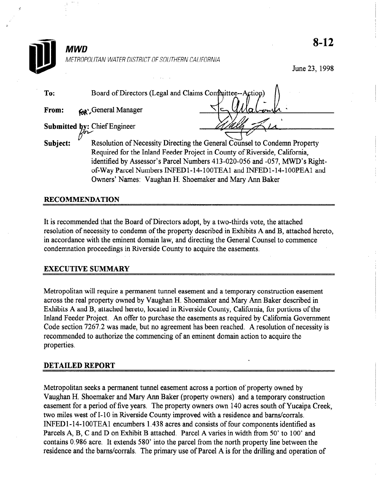

June 23, 1998

| To:      | Board of Directors (Legal and Claims Confinittee--Action)                                                                                                                                                                                     |  |
|----------|-----------------------------------------------------------------------------------------------------------------------------------------------------------------------------------------------------------------------------------------------|--|
| From:    | <b>GR', General Manager</b>                                                                                                                                                                                                                   |  |
|          | <b>Submitted by: Chief Engineer</b>                                                                                                                                                                                                           |  |
| Subject: | Resolution of Necessity Directing the General Counsel to Condemn Property<br>Required for the Inland Feeder Project in County of Riverside, California,<br>$\lambda$ antified by Agreements Depart Mumbers 412, 020, 056 and 057, MWD's Dight |  |

identified by Assessor's Parcel Numbers 413-020-056 and -057, MWD's Rightof-Way Parcel Numbers INFED 1 - 14- 1 OOTEAl and INFED 1- 14- 1 OOPEAl and Owners' Names: Vaughan H. Shoemaker and Mary Ann Baker

# RECOMMENDATION

It is recommended that the Board of Directors adopt, by a two-thirds vote, the attached resolution of necessity to condemn of the property described in Exhibits A and B, attached hereto, in accordance with the eminent domain law, and directing the General Counsel to commence condemnation proceedings in Riverside County to acquire the easements.

# EXECUTIVE SUMMARY

Metropolitan will require a permanent tunnel easement and a temporary construction easement across the real property owned by Vaughan H. Shoemaker and Mary Ann Baker described in Exhibits A and B, attached hereto, located in Riverside County, California, for portions of the Inland Feeder Project. An offer to purchase the easements as required by California Government Code section 7267.2 was made, but no agreement has been reached. A resolution of necessity is recommended to authorize the commencing of an eminent domain action to acquire the properties.

#### DETAILED REPORT

Metropolitan seeks a permanent tunnel easement across a portion of property owned by Vaughan H. Shoemaker and Mary Arm Baker (property owners) and a temporary construction easement for a period of five years. The property owners own 140 acres south of Yucaipa Creek, two miles west of I-10 in Riverside County improved with a residence and barns/corrals. INFEDl- 14-lOOTEA encumbers 1.438 acres and consists of four components identified as Parcels A, B, C and D on Exhibit B attached. Parcel A varies in width from 50' to 100' and contains 0.986 acre. It extends 580' into the parcel from the north property line between the residence and the barns/corrals. The primary use of Parcel A is for the drilling and operation of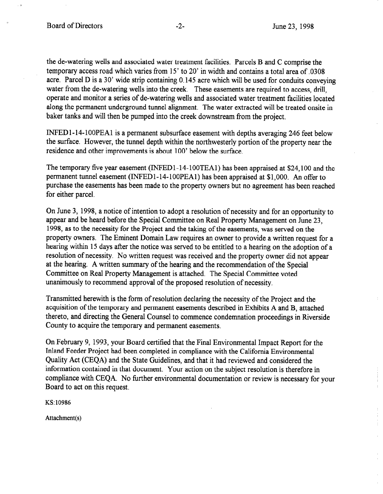the de-watering wells and associated water treatment facilities. Parcels B and C comprise the temporary access road which varies from 15' to 20' in width and contains a total area of .0308 acre. Parcel D is a 30' wide strip containing 0.145 acre which will be used for conduits conveying water from the de-watering wells into the creek. These easements are required to access, drill, operate and monitor a series of de-watering wells and associated water treatment facilities located along the permanent underground tunnel alignment. The water extracted will be treated onsite in baker tanks and will then be pumped into the creek downstream from the project.

INFED 1-14-100PEA1 is a permanent subsurface easement with depths averaging 246 feet below the surface. However, the tunnel depth within the northwesterly portion of the property near the residence and other improvements is about 100' below the surface.

The temporary five year easement (INFEDl-14- lOOTEAl) has been appraised at \$24,100 and the permanent tunnel easement (INFEDl-14-1 OOPEAl) has been appraised at \$1,000. An offer to purchase the easements has been made to the property owners but no agreement has been reached for either parcel.

On June 3, 1998, a notice of intention to adopt a resolution of necessity and for an opportunity to appear and be heard before the Special Committee on Real Property Management on June 23, 1998, as to the necessity for the Project and the taking of the easements, was served on the property owners. The Eminent Domain Law requires an owner to provide a written request for a hearing within 15 days after the notice was served to be entitled to a hearing on the adoption of a resolution of necessity. No written request was received and the property owner did not appear at the hearing. A written summary of the hearing and the recommendation of the Special Committee on Real Property Management is attached. The Special Committee voted unanimously to recommend approval of the proposed resolution of necessity.

Transmitted herewith is the form of resolution declaring the necessity of the Project and the acquisition of the temporary and permanent easements described in Exhibits A and B, attached thereto, and directing the General Counsel to commence condemnation proceedings in Riverside County to acquire the temporary and permanent easements.

On February 9, 1993, your Board certified that the Final Environmental Impact Report for the Inland Feeder Project had been completed in compliance with the California Environmental Quality Act (CEQA) and the State Guidelines, and that it had reviewed and considered the information contained in that document. Your action on the subject resolution is therefore in compliance with CEQA. No further environmental documentation or review is necessary for your Board to act on this request.

KS: 10986

Attachment(s)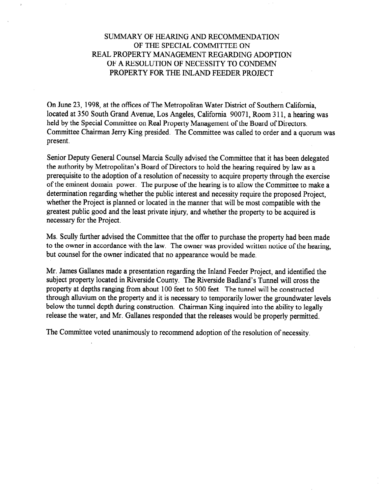# SUMMARY OF HEARING AND RECOMMENDATION OF THE SPECIAL COMMITTEE ON REAL PROPERTY MANAGEMENT REGARDING ADOPTION OF A RESOLUTION OF NECESSITY TO CONDEMN PROPERTY FOR THE INLAND FEEDER PROJECT

On June 23, 1998, at the offices of The Metropolitan Water District of Southern California, located at 350 South Grand Avenue, Los Angeles, California 90071, Room 3 11, a hearing was held by the Special Committee on Real Property Management of the Board of Directors. Committee Chairman Jerry Ring presided. The Committee was called to order and a quorum was present.

Senior Deputy General Counsel Marcia Scully advised the Committee that it has been delegated the authority by Metropolitan's Board of Directors to hold the hearing required by law as a prerequisite to the adoption of a resolution of necessity to acquire property through the exercise of the eminent domain power. The purpose of the hearing is to allow the Committee to make a determination regarding whether the public interest and necessity require the proposed Project, whether the Project is planned or located in the manner that will be most compatible with the greatest public good and the least private injury, and whether the property to be acquired is necessary for the Project.

Ms. Scully further advised the Committee that the offer to purchase the property had been made to the owner in accordance with the law. The owner was provided written notice of the hearing, but counsel for the owner indicated that no appearance would be made.

Mr. James Gallanes made a presentation regarding the Inland Feeder Project, and identified the subject property located in Riverside County. The Riverside Badland's Tunnel will cross the property at depths ranging from about 100 feet to 500 feet. The tunnel will be constructed through alluvium on the property and it is necessary to temporarily lower the groundwater levels below the tunnel depth during construction. Chairman King inquired into the ability to legally release the water, and Mr. Gallanes responded that the releases would be properly permitted.

The Committee voted unanimously to recommend adoption of the resolution of necessity.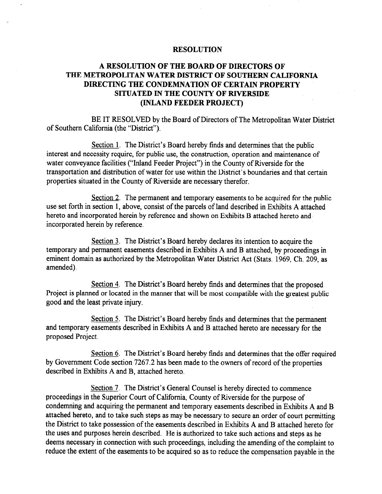#### **RESOLUTION**

# A RESOLUTION OF THE BOARD OF DIRECTORS OF THE METROPOLITAN WATER DISTRICT OF SOUTHERN CALIFORNIA DIRECTING THE CONDEMNATION OF CERTAIN PROPERTY SITUATED IN THE COUNTY OF RIVERSIDE (INLAND FEEDER PROJECT)

BE IT RESOLVED by the Board of Directors of The Metropolitan Water District of Southern California (the "District").

Section 1. The District's Board hereby finds and determines that the public interest and necessity require, for public use, the construction, operation and maintenance of water conveyance facilities ("Inland Feeder Project") in the County of Riverside for the transportation and distribution of water for use within the District's boundaries and that certain properties situated in the County of Riverside are necessary therefor.

Section 2. The permanent and temporary easements to be acquired for the public use set forth in section 1, above, consist of the parcels of land described in Exhibits A attached hereto and incorporated herein by reference and shown on Exhibits B attached hereto and incorporated herein by reference.

Section 3. The District's Board hereby declares its intention to acquire the temporary and permanent easements described in Exhibits A and B attached, by proceedings in eminent domain as authorized by the Metropolitan Water District Act (Stats. 1969, Ch. 209, as amended).

Section 4. The District's Board hereby finds and determines that the proposed Project is planned or located in the manner that will be most compatible with the greatest public good and the least private injury.

Section 5. The District's Board hereby finds and determines that the permanent and temporary easements described in Exhibits A and B attached hereto are necessary for the proposed Project.

Section 6. The District's Board hereby finds and determines that the offer required by Government Code section 7267.2 has been made to the owners of record of the properties described in Exhibits A and B, attached hereto.

Section 7. The District's General Counsel is hereby directed to commence proceedings in the Superior Court of California, County of Riverside for the purpose of condemning and acquiring the permanent and temporary easements described in Exhibits A and B  $\frac{1}{2}$  attached here  $\frac{1}{2}$  and to take such steps as  $\frac{1}{2}$  and  $\frac{1}{2}$  and  $\frac{1}{2}$  and  $\frac{1}{2}$  and  $\frac{1}{2}$  and  $\frac{1}{2}$  and  $\frac{1}{2}$  and  $\frac{1}{2}$  and  $\frac{1}{2}$  and  $\frac{1}{2}$  and  $\frac{1}{2}$  and  $\frac{1}{2$ the District to take possession of the east possession of the eastern described in Exhibits A count permitting the District to the possession of the casements described. H. Daniells A and D attached netted and deep and parposes neron absorbed. The is authorized to take such actions and steps as ne deems necessary in connection with such proceedings, including the amending of the complaint to reduce the extent of the easements to be acquired so as to reduce the compensation payable in the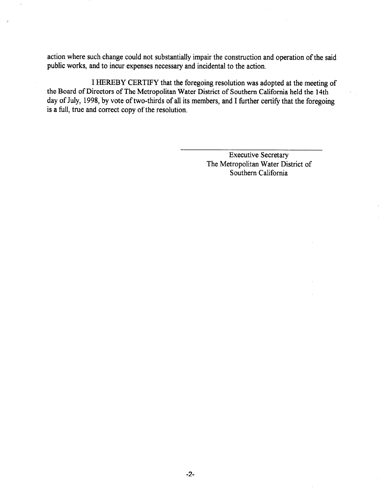action where such change could not substantially impair the construction and operation of the said public works, and to incur expenses necessary and incidental to the action.

I HEREBY CERTIFY that the foregoing resolution was adopted at the meeting of the Board of Directors of The Metropolitan Water District of Southern California held the 14th day of July, 1998, by vote of two-thirds of all its members, and I further certify that the foregoing is a full, true and correct copy of the resolution.

> Executive Secretary The Metropolitan Water District of Southern California

-2-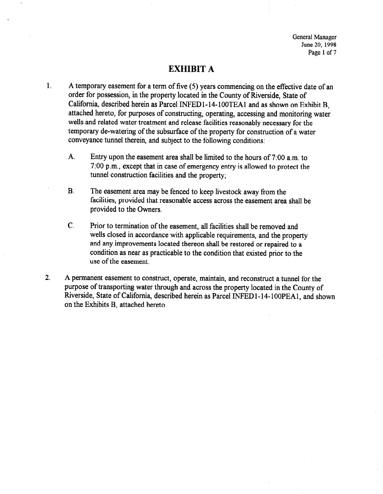General Manager June 20, 1998 Page 1 of 7

# EXHIBIT A

- 1. A temporary easement for a term of five (5) years commencing on the effective date of an order for possession, in the property located in the County of Riverside, State of California, described herein as Parcel INFED1-14-100TEA1 and as shown on Exhibit B, attached hereto, for purposes of constructing, operating, accessing and monitoring water wells and related water treatment and release facilities reasonably necessary for the temporary de-watering of the subsurface of the property for construction of a water conveyance tunnel therein, and subject to the following conditions:
	- A. Entry upon the easement area shall be limited to the hours of 7:00 a.m. to 7:00 p.m., except that in case of emergency entry is allowed to protect the tunnel construction facilities and the property;
	- B. The easement area may be fenced to keep livestock away from the facilities, provided that reasonable access across the easement area shall be provided to the Owners.
	- C. Prior to termination of the easement, all facilities shall be removed and wells closed in accordance with applicable requirements, and the property and any improvements located thereon shall be restored or repaired to a condition as near as practicable to the condition that existed prior to the use of the easement.
- 2. A permanent easement to construct, operate, maintain, and reconstruct a tunnel for the purpose of transporting water through and across the property located in the County of Riverside, State of California, described herein as Parcel INFED1-14-100PEA1, and shown on the Exhibits B, attached hereto.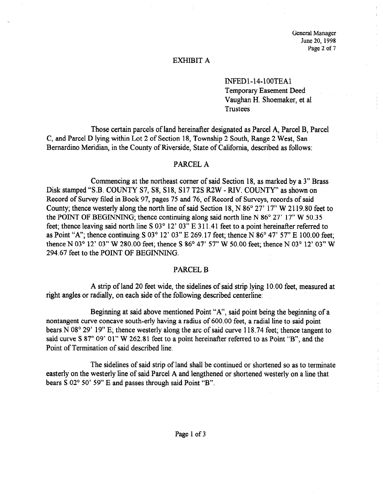General Manager June 20, 1998 Page 2 of 7

÷

#### EXHIBIT A

INFEDl-14-lOOTEA Temporary Easement Deed Vaughan H. Shoemaker, et al **Trustees** 

Those certain parcels of land hereinafter designated as Parcel A, Parcel B, Parcel C, and Parcel D lying within Lot 2 of Section 18, Township 2 South, Range 2 West, San Bernardino Meridian, in the County of Riverside, State of California, described as follows:

#### PARCEL A

Commencing at the northeast corner of said Section 18, as marked by a 3" Brass Disk stamped "S.B. COUNTY S7, S8, S18, S17 T2S R2W - RIV. COUNTY" as shown on Record of Survey filed in Book 97, pages 75 and 76, of Record of Surveys, records of said County; thence westerly along the north line of said Section 18, N 86° 27' 17" W 2119.80 feet to the POINT OF BEGINNING; thence continuing along said north line N  $86^{\circ}$  27' 17" W  $50.35$ feet; thence leaving said north line S  $03^{\circ}$  12'  $03''$  E 311.41 feet to a point hereinafter referred to as Point "A"; thence continuing S  $03^{\circ}$  12'  $03$ " E 269.17 feet; thence N  $86^{\circ}$  47' 57" E 100.00 feet; thence N 03° 12' 03" W 280.00 feet; thence S 86° 47' 57" W 50.00 feet; thence N 03° 12' 03" W 294.67 feet to the POINT OF BEGINNING.

#### PARCEL B

 $\mathcal{A}$  strip of land 20 feet wide, the side strip lying 10.000 feet, measured at strip lying 10.000 feet, measured at  $\mathcal{A}$ right and zo reet wide, the sidennes or said strip lying

Beginning at said above mentioned Point "A", said point being the beginning of a Beginning at said above mentioned Point  $A$ , said point being the beginning o nontangent curve concave south-erly having a radius of 600.00 feet, a radial line to said point bears N 08 $^{\circ}$  29' 19" E; thence westerly along the arc of said curve 118.74 feet; thence tangent to said curve S  $87^{\circ}$  09' 01" W 262.81 feet to a point hereinafter referred to as Point "B", and the Point of Termination of said described line.

The sidelines of said strip of land shall be continued or shortened so as to terminate easterly on the westerly line of said Parcel A and lengthened or shortened westerly on a line that bears S 02° 50' 59" E and passes through said Point "B".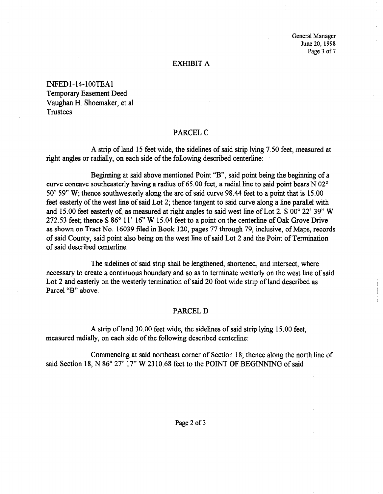General Manager June 20, 1998 Page 3 of 7

#### EXHIBIT A

INFEDl-14-lOOTEA Temporary Easement Deed Vaughan H. Shoemaker, et al Trustees

#### PARCEL C

A strip of land 15 feet wide, the sidelines of said strip lying 7.50 feet, measured at right angles or radially, on each side of the following described centerline:

Beginning at said above mentioned Point "B", said point being the beginning of a curve concave southeasterly having a radius of 65.00 feet, a radial line to said point bears  $\overline{N}$  02° 50' 59" W; thence southwesterly along the arc of said curve 98.44 feet to a point that is 15.00 feet easterly of the west line of said Lot 2; thence tangent to said curve along a line parallel with and 15.00 feet easterly of, as measured at right angles to said west line of Lot 2, S  $00^{\circ}$  22' 39" W 272.53 feet; thence S 86° 11' 16" W 15.04 feet to a point on the centerline of Oak Grove Drive as shown on Tract No. 16039 filed in Book 120, pages 77 through 79, inclusive, of Maps, records of said County, said point also being on the west line of said Lot 2 and the Point of Termination of said described centerline.

The sidelines of said strip shall be lengthened, shortened, and intersect, where net statemes of said strip shall be lengthelied, shortened, and intersect, where necessary to create a continuous boundary and so as to terminate westerly on the west line of said Lot 2 and easterly on the westerly termination of said 20 foot wide strip of land described as Parcel "B" above.

### PARCEL D

 $A \rightarrow \infty$  strip of land 30.000 feet wide, the sidelines of said strip lying 15.000 feet, the sidelines of said strip lying 15.000 feet, the sidelines of said strip lying 15.000 feet, the sidelines of said strip lying 15.00 A strip of land  $30.00$  feet wide, the sidelines of said str

Commencing at said northeast corner of Section 18; thence along the north line of said Section 18, N 86° 27' 17" W 2310.68 feet to the POINT OF BEGINNING of said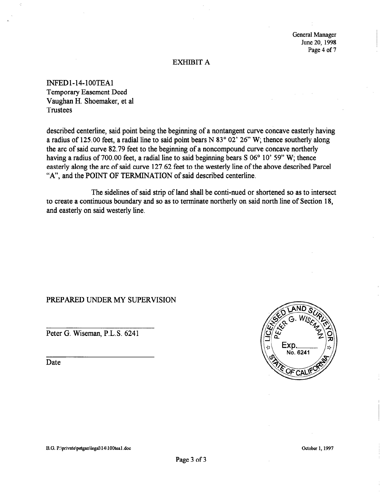General Manager June 20, 1998 Page 4 of 7

#### EXHIBIT A

INFEDl-14-lOOTEA Temporary Easement Deed Vaughan H. Shoemaker, et al Trustees

described centerline, said point being the beginning of a nontangent curve concave easterly having a radius of 125.00 feet, a radial line to said point bears N 83 $^{\circ}$  02' 26" W; thence southerly along the arc of said curve 82.79 feet to the beginning of a noncompound curve concave northerly having a radius of 700.00 feet, a radial line to said beginning bears S 06° 10' 59" W; thence easterly along the arc of said curve 127.62 feet to the westerly line of the above described Parcel "A", and the POINT OF TERMINATION of said described centerline.

The sidelines of said strip of land shall be conti-nued or shortened so as to intersect to create a continuous boundary and so as to terminate northerly on said north line of Section 18, and easterly on said westerly line.

# PREPARED UNDER MY SUPERVISION

Peter G. Wiseman, P.L.S. 6241

Date

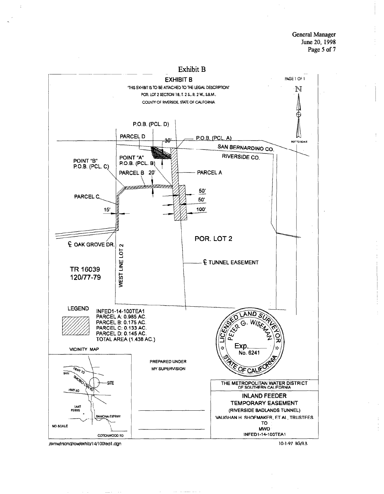**General Manager** June 20, 1998 Page 5 of 7



/svrtw/inland/row/exhib/14/100tea1.dgn

10-1-97 BG/R.B.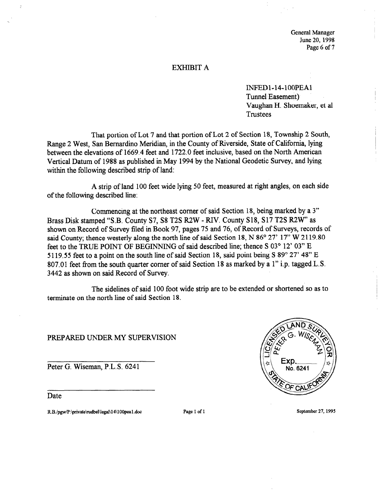General Manager June 20,199s Page 6 of 7

#### EXHIBIT A

INFEDl-14-lOOPEA Tunnel Easement) Vaughan H. Shoemaker, et al Trustees

That portion of Lot 7 and that portion of Lot 2 of Section 18, Township 2 South, Range 2 West, San Bernardino Meridian in the County of Riverside, State of California, lying between the elevations of 1669.4 feet and 1722.0 feet inclusive, based on the North American Vertical Datum of 1988 as published in May 1994 by the National Geodetic Survey, and lying within the following described strip of land:

A strip of land 100 feet wide lying 50 feet, measured at right angles, on each side of the following described line:

Commencing at the northeast comer of said Section 18, being marked by a 3" Brass Disk stamped "S.B. County S7, S8 T2S R2W - RIV. County S18, S17 T2S R2W' as shown on Record of Survey filed in Book 97, pages 75 and 76, of Record of Surveys, records of said County; thence westerly along the north line of said Section 18, N  $86^{\circ}$  27' 17" W 2119.80 feet to the TRUE POINT OF BEGINNING of said described line; thence S 03° 12' 03" E 5119.55 feet to a point on the south line of said Section 18, said point being S 89° 27' 48" E 807.01 feet from the south quarter corner of said Section 18 as marked by a 1" i.p. tagged, L.S. 3442 as shown on said Record of Survey.

The sidelines of said 100 foot wide strip are to be extended or shortened so as to terminate on the north line of said Section 18.

PREPARED UNDER MY SUPERVISION

Peter G. Wiseman, P.L.S. 6241

Date

R.B./pgw/P:\private\rudbel\legal\14\100pea1.doc Page 1 of 1 September 27, 1995

No. 6241